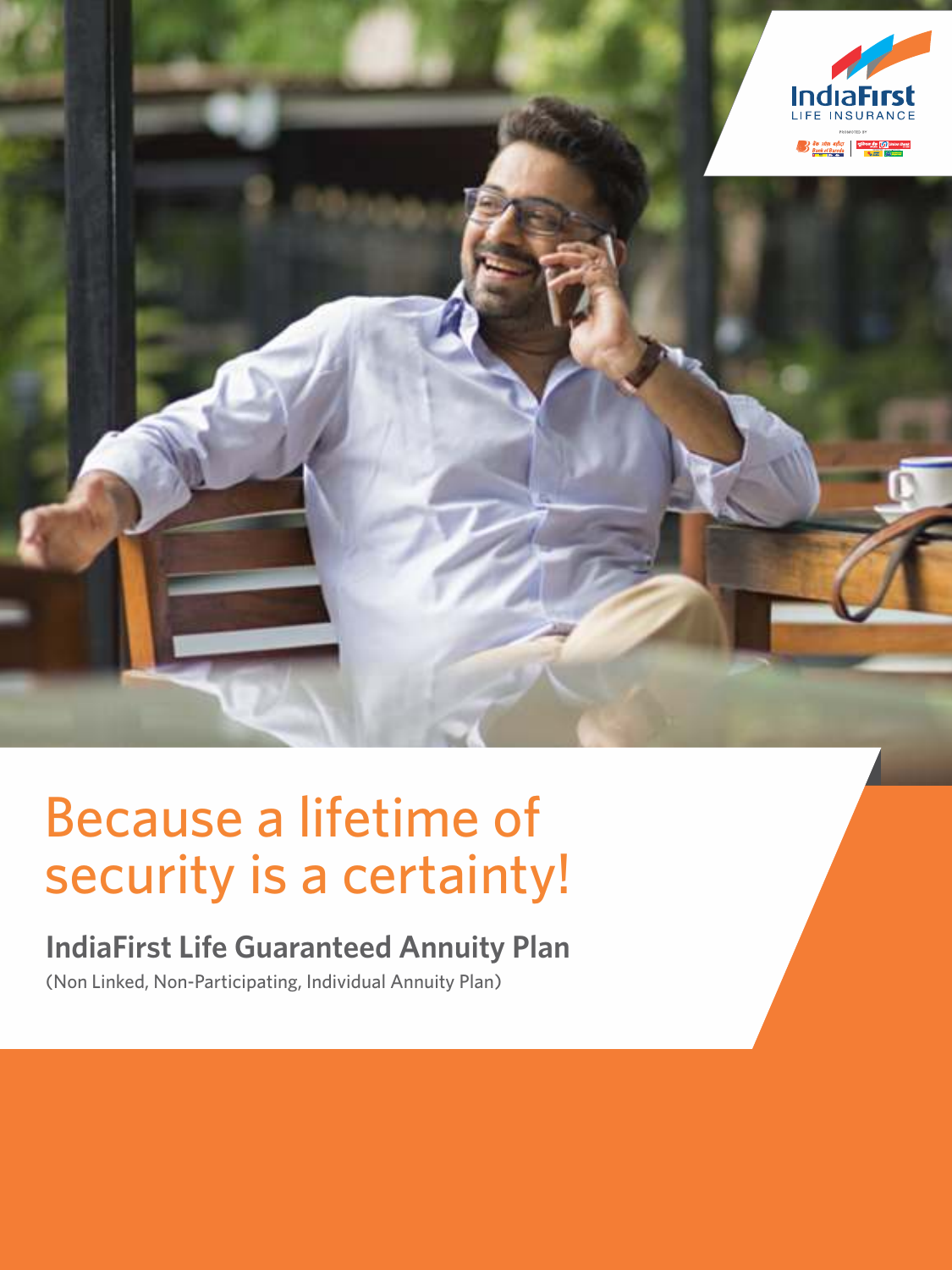

# Because a lifetime of security is a certainty!

# **IndiaFirst Life Guaranteed Annuity Plan**

(Non Linked, Non-Participating, Individual Annuity Plan)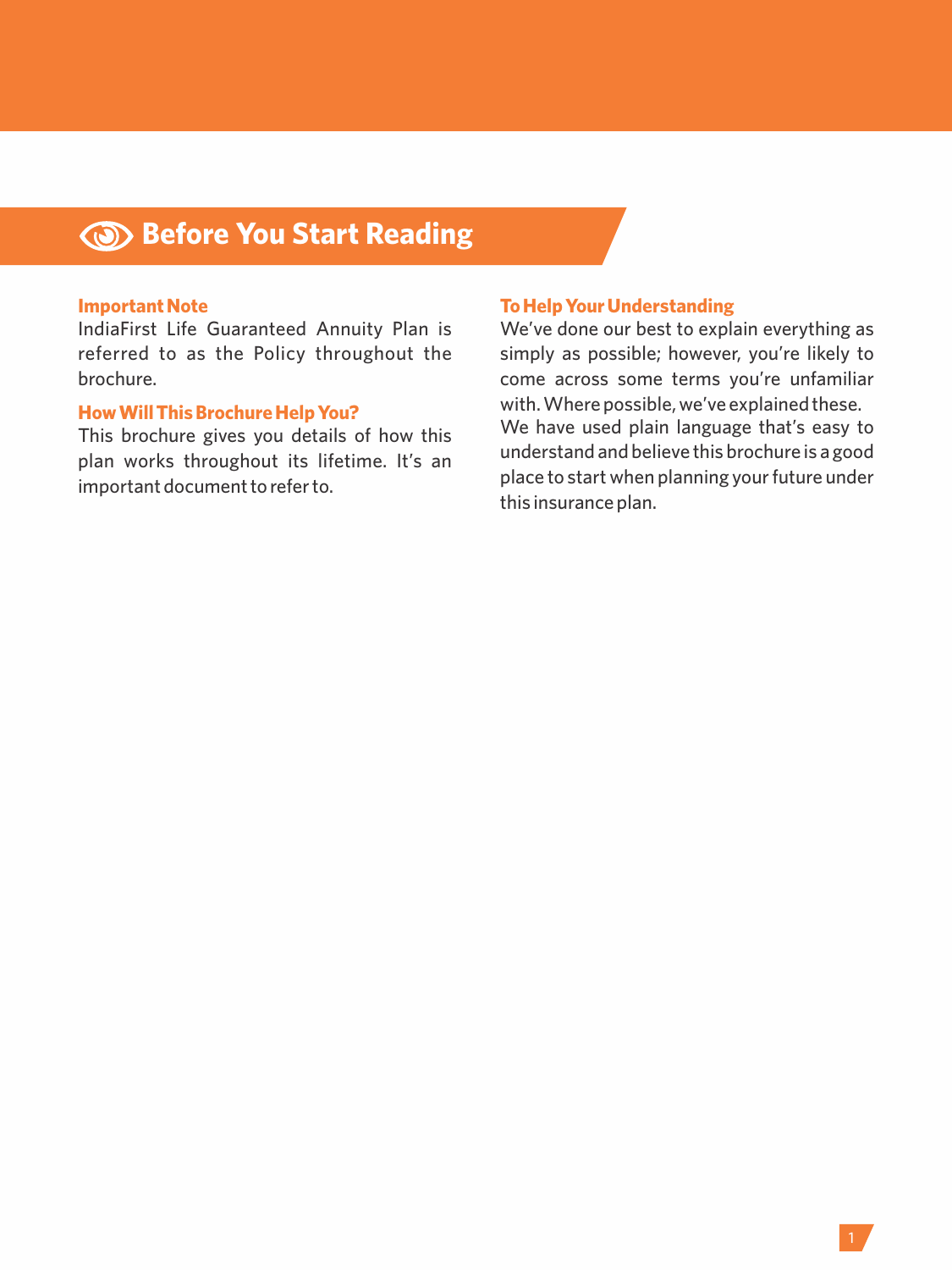## **Before You Start Reading**

#### **Important Note**

IndiaFirst Life Guaranteed Annuity Plan is referred to as the Policy throughout the brochure.

#### **How Will This Brochure Help You?**

This brochure gives you details of how this plan works throughout its lifetime. It's an important document to refer to.

#### **To Help Your Understanding**

We've done our best to explain everything as simply as possible; however, you're likely to come across some terms you're unfamiliar with. Where possible, we've explained these. We have used plain language that's easy to understand and believe this brochure is a good place to start when planning your future under this insurance plan.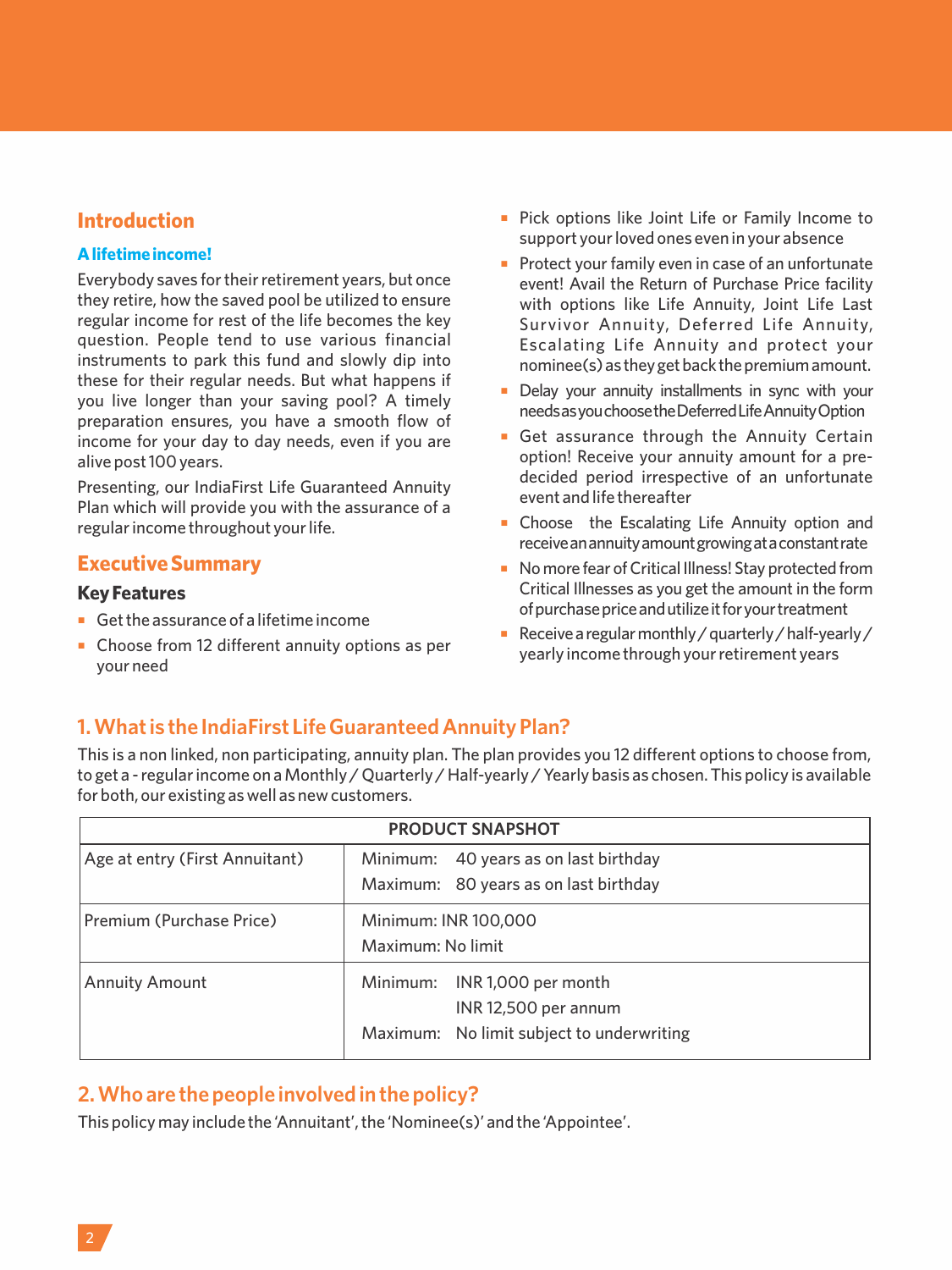## **Introduction**

#### **A lifetime income!**

Everybody saves for their retirement years, but once they retire, how the saved pool be utilized to ensure regular income for rest of the life becomes the key question. People tend to use various financial instruments to park this fund and slowly dip into these for their regular needs. But what happens if you live longer than your saving pool? A timely preparation ensures, you have a smooth flow of income for your day to day needs, even if you are alive post 100 years.

Presenting, our IndiaFirst Life Guaranteed Annuity Plan which will provide you with the assurance of a regular income throughout your life.

## **Executive Summary**

#### **Key Features**

- Get the assurance of a lifetime income
- ¡ Choose from 12 different annuity options as per your need
- **Pick options like Joint Life or Family Income to** support your loved ones even in your absence
- Protect your family even in case of an unfortunate event! Avail the Return of Purchase Price facility with options like Life Annuity, Joint Life Last Survivor Annuity, Deferred Life Annuity, Escalating Life Annuity and protect your nominee(s) as they get back the premium amount.
- **•** Delay your annuity installments in sync with your needsasyouchoosetheDeferredLifeAnnuityOption
- **Get assurance through the Annuity Certain** option! Receive your annuity amount for a predecided period irrespective of an unfortunate event and life thereafter
- **Exercise ELG** Choose the Escalating Life Annuity option and receiveanannuityamountgrowingataconstantrate
- No more fear of Critical Illness! Stay protected from Critical Illnesses as you get the amount in the form ofpurchasepriceandutilizeitforyourtreatment
- $\blacksquare$  Receive a regular monthly / quarterly / half-yearly / yearly income through your retirement years

## **1. What is the IndiaFirst Life Guaranteed Annuity Plan?**

This is a non linked, non participating, annuity plan. The plan provides you 12 different options to choose from, to get a - regular income on a Monthly / Quarterly / Half-yearly / Yearly basis as chosen. This policy is available for both, our existing as well as new customers.

| <b>PRODUCT SNAPSHOT</b>        |                                           |  |
|--------------------------------|-------------------------------------------|--|
| Age at entry (First Annuitant) | Minimum: 40 years as on last birthday     |  |
|                                | Maximum: 80 years as on last birthday     |  |
| Premium (Purchase Price)       | Minimum: INR 100,000                      |  |
|                                | Maximum: No limit                         |  |
| <b>Annuity Amount</b>          | Minimum: INR 1,000 per month              |  |
|                                | INR 12,500 per annum                      |  |
|                                | Maximum: No limit subject to underwriting |  |

## **2. Who are the people involved in the policy?**

This policy may include the 'Annuitant', the 'Nominee(s)' and the 'Appointee'.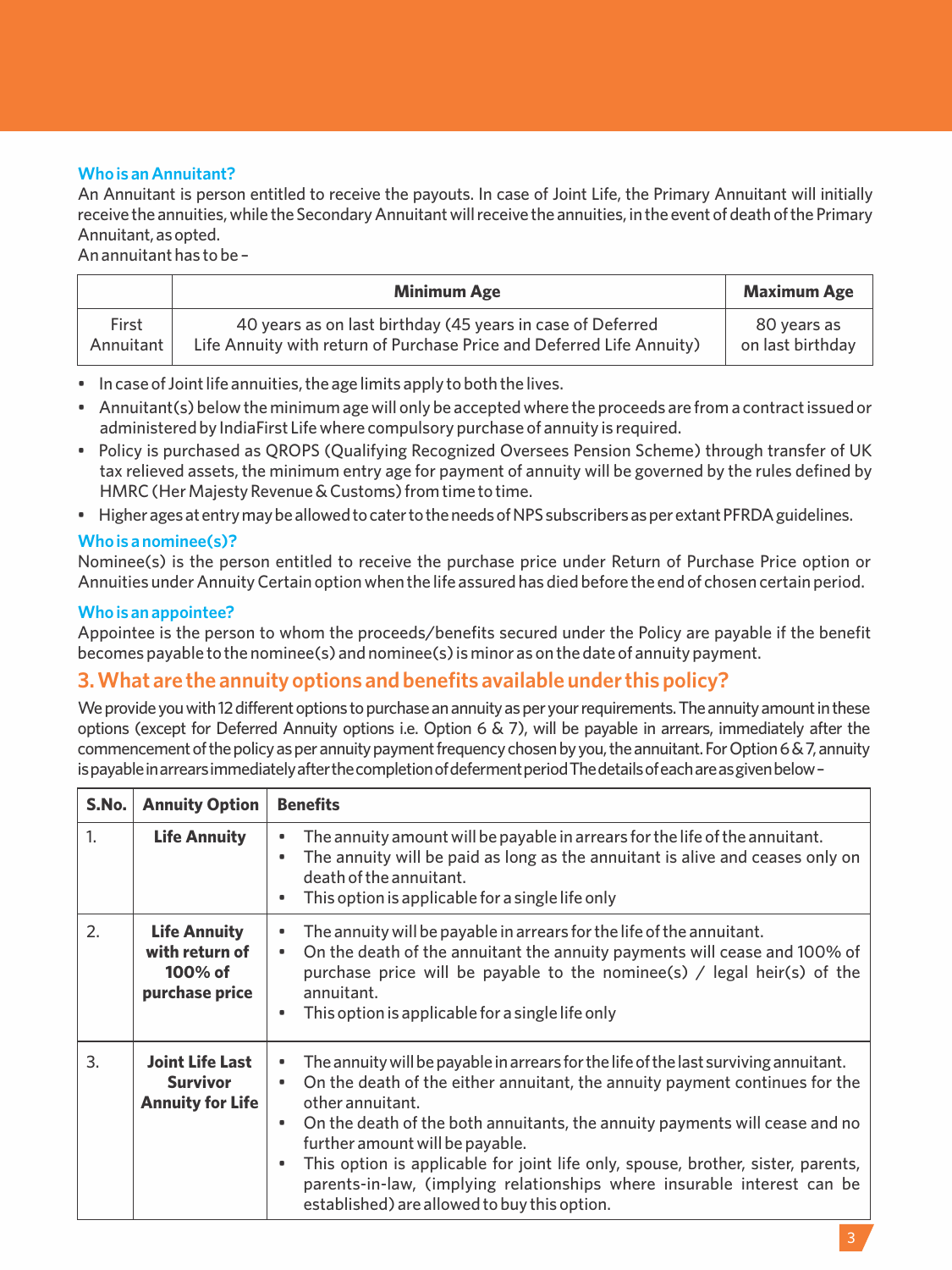#### **Who is an Annuitant?**

An Annuitant is person entitled to receive the payouts. In case of Joint Life, the Primary Annuitant will initially receive the annuities, while the Secondary Annuitant will receive the annuities, in the event of death of the Primary Annuitant, as opted.

An annuitant has to be –

|                    | <b>Minimum Age</b>                                                                                                                  | <b>Maximum Age</b>              |
|--------------------|-------------------------------------------------------------------------------------------------------------------------------------|---------------------------------|
| First<br>Annuitant | 40 years as on last birthday (45 years in case of Deferred<br>Life Annuity with return of Purchase Price and Deferred Life Annuity) | 80 vears as<br>on last birthdav |
|                    |                                                                                                                                     |                                 |

- In case of Joint life annuities, the age limits apply to both the lives.
- Annuitant(s) below the minimum age will only be accepted where the proceeds are from a contract issued or administered by IndiaFirst Life where compulsory purchase of annuity is required.
- Policy is purchased as QROPS (Qualifying Recognized Oversees Pension Scheme) through transfer of UK tax relieved assets, the minimum entry age for payment of annuity will be governed by the rules defined by HMRC (Her Majesty Revenue & Customs) from time to time.
- Higher ages at entry may be allowed to cater to the needs of NPS subscribers as per extant PFRDA guidelines.

#### **Who is a nominee(s)?**

Nominee(s) is the person entitled to receive the purchase price under Return of Purchase Price option or Annuities under Annuity Certain option when the life assured has died before the end of chosen certain period.

#### **Who is an appointee?**

Appointee is the person to whom the proceeds/benefits secured under the Policy are payable if the benefit becomes payable to the nominee(s) and nominee(s) is minor as on the date of annuity payment.

### **3. What are the annuity options and benefits available under this policy?**

We provide you with 12 different options to purchase an annuity as per your requirements. The annuity amount in these options (except for Deferred Annuity options i.e. Option 6 & 7), will be payable in arrears, immediately after the commencement of the policy as per annuity payment frequency chosen by you, the annuitant. For Option 6 & 7, annuity is payable in arrears immediately after the completion of deferment period The details of each are as given below-

| S.No. | <b>Annuity Option</b>                                                | <b>Benefits</b>                                                                                                                                                                                                                                                                                                                                                                                                                                                                                                                              |
|-------|----------------------------------------------------------------------|----------------------------------------------------------------------------------------------------------------------------------------------------------------------------------------------------------------------------------------------------------------------------------------------------------------------------------------------------------------------------------------------------------------------------------------------------------------------------------------------------------------------------------------------|
| 1.    | <b>Life Annuity</b>                                                  | The annuity amount will be payable in arrears for the life of the annuitant.<br>۰<br>The annuity will be paid as long as the annuitant is alive and ceases only on<br>۰<br>death of the annuitant.<br>This option is applicable for a single life only<br>٠                                                                                                                                                                                                                                                                                  |
| 2.    | <b>Life Annuity</b><br>with return of<br>100% of<br>purchase price   | The annuity will be payable in arrears for the life of the annuitant.<br>٠<br>On the death of the annuitant the annuity payments will cease and 100% of<br>۰<br>purchase price will be payable to the nominee(s) / legal heir(s) of the<br>annuitant.<br>This option is applicable for a single life only<br>٠                                                                                                                                                                                                                               |
| 3.    | <b>Joint Life Last</b><br><b>Survivor</b><br><b>Annuity for Life</b> | The annuity will be payable in arrears for the life of the last surviving annuitant.<br>۰<br>On the death of the either annuitant, the annuity payment continues for the<br>٠<br>other annuitant.<br>On the death of the both annuitants, the annuity payments will cease and no<br>٠<br>further amount will be payable.<br>This option is applicable for joint life only, spouse, brother, sister, parents,<br>٠<br>parents-in-law, (implying relationships where insurable interest can be<br>established) are allowed to buy this option. |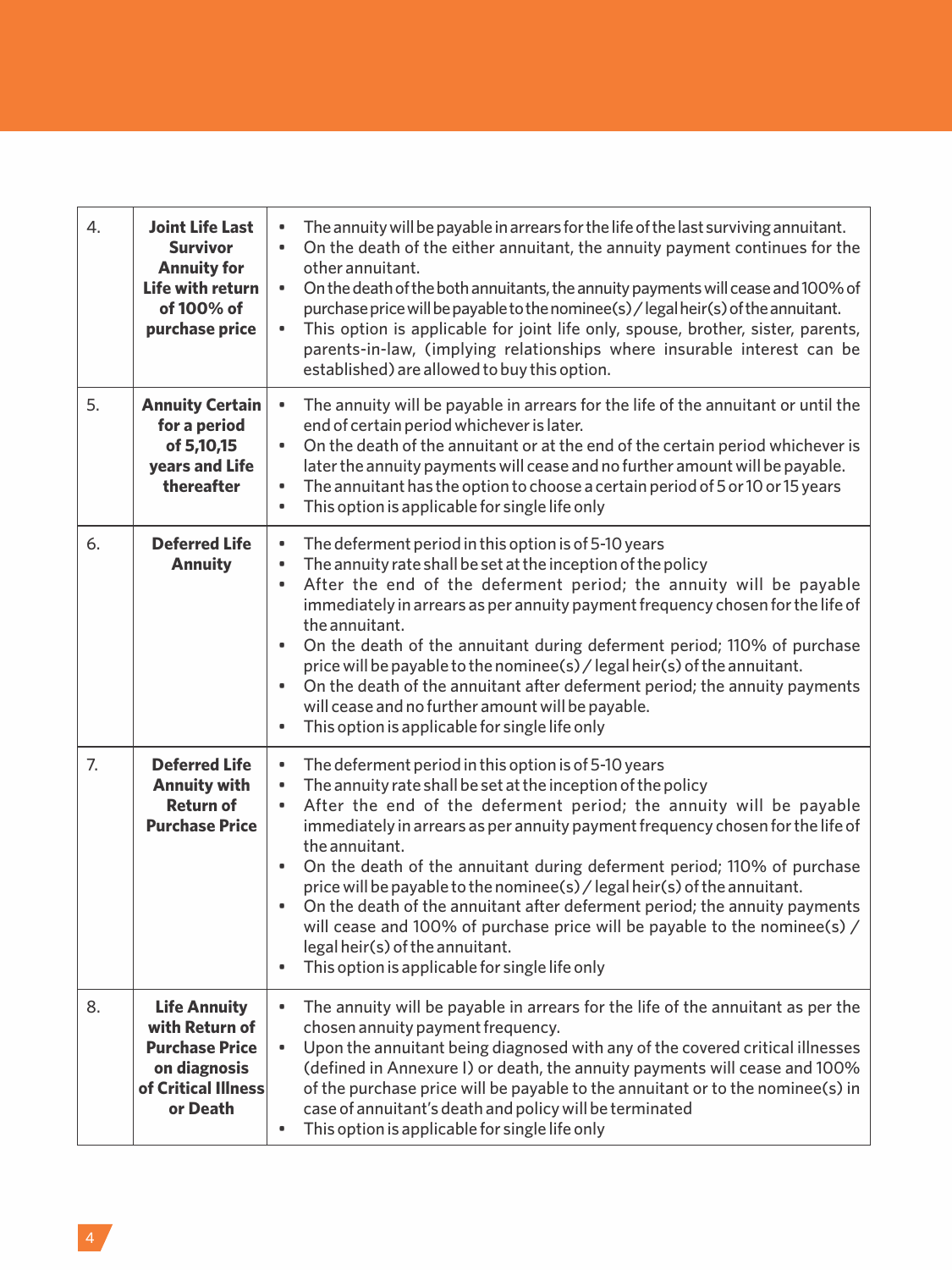| 4. | Joint Life Last<br>Survivor<br><b>Annuity for</b><br><b>Life with return</b><br>of 100% of<br>purchase price      | The annuity will be payable in arrears for the life of the last surviving annuitant.<br>۰<br>On the death of the either annuitant, the annuity payment continues for the<br>٠<br>other annuitant.<br>On the death of the both annuitants, the annuity payments will cease and 100% of<br>۰<br>purchase price will be payable to the nominee(s) / legal heir(s) of the annuitant.<br>This option is applicable for joint life only, spouse, brother, sister, parents,<br>٠<br>parents-in-law, (implying relationships where insurable interest can be<br>established) are allowed to buy this option.                                                                                                                                                         |
|----|-------------------------------------------------------------------------------------------------------------------|--------------------------------------------------------------------------------------------------------------------------------------------------------------------------------------------------------------------------------------------------------------------------------------------------------------------------------------------------------------------------------------------------------------------------------------------------------------------------------------------------------------------------------------------------------------------------------------------------------------------------------------------------------------------------------------------------------------------------------------------------------------|
| 5. | <b>Annuity Certain</b><br>for a period<br>of 5,10,15<br><b>years and Life</b><br>thereafter                       | The annuity will be payable in arrears for the life of the annuitant or until the<br>$\bullet$<br>end of certain period whichever is later.<br>On the death of the annuitant or at the end of the certain period whichever is<br>٠<br>later the annuity payments will cease and no further amount will be payable.<br>The annuitant has the option to choose a certain period of 5 or 10 or 15 years<br>۰<br>This option is applicable for single life only<br>$\bullet$                                                                                                                                                                                                                                                                                     |
| 6. | <b>Deferred Life</b><br><b>Annuity</b>                                                                            | The deferment period in this option is of 5-10 years<br>$\bullet$<br>The annuity rate shall be set at the inception of the policy<br>٠<br>After the end of the deferment period; the annuity will be payable<br>$\bullet$<br>immediately in arrears as per annuity payment frequency chosen for the life of<br>the annuitant.<br>On the death of the annuitant during deferment period; 110% of purchase<br>$\bullet$<br>price will be payable to the nominee(s) / legal heir(s) of the annuitant.<br>On the death of the annuitant after deferment period; the annuity payments<br>۰<br>will cease and no further amount will be payable.<br>This option is applicable for single life only<br>$\bullet$                                                    |
| 7. | <b>Deferred Life</b><br><b>Annuity with</b><br><b>Return of</b><br><b>Purchase Price</b>                          | $\bullet$<br>The deferment period in this option is of 5-10 years<br>The annuity rate shall be set at the inception of the policy<br>۰<br>After the end of the deferment period; the annuity will be payable<br>٠<br>immediately in arrears as per annuity payment frequency chosen for the life of<br>the annuitant.<br>On the death of the annuitant during deferment period; 110% of purchase<br>$\bullet$<br>price will be payable to the nominee(s) / legal heir(s) of the annuitant.<br>On the death of the annuitant after deferment period; the annuity payments<br>٠<br>will cease and 100% of purchase price will be payable to the nominee(s) /<br>legal heir(s) of the annuitant.<br>This option is applicable for single life only<br>$\bullet$ |
| 8. | <b>Life Annuity</b><br>with Return of<br><b>Purchase Price</b><br>on diagnosis<br>of Critical Illness<br>or Death | The annuity will be payable in arrears for the life of the annuitant as per the<br>۰<br>chosen annuity payment frequency.<br>Upon the annuitant being diagnosed with any of the covered critical illnesses<br>٠<br>(defined in Annexure I) or death, the annuity payments will cease and 100%<br>of the purchase price will be payable to the annuitant or to the nominee(s) in<br>case of annuitant's death and policy will be terminated<br>This option is applicable for single life only<br>۰                                                                                                                                                                                                                                                            |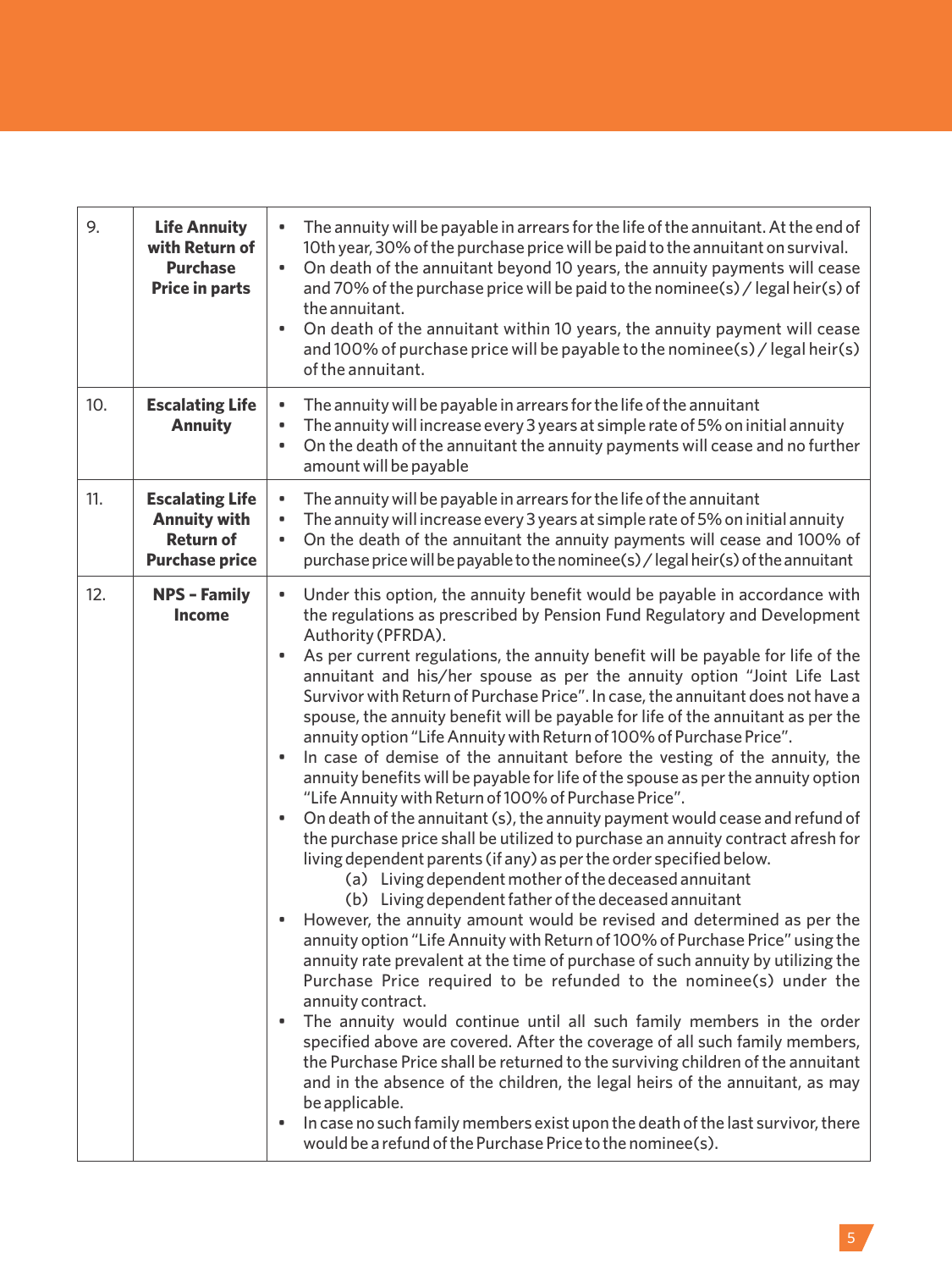| 9.  | <b>Life Annuity</b><br>with Return of<br><b>Purchase</b><br><b>Price in parts</b>          | The annuity will be payable in arrears for the life of the annuitant. At the end of<br>10th year, 30% of the purchase price will be paid to the annuitant on survival.<br>$\bullet$<br>On death of the annuitant beyond 10 years, the annuity payments will cease<br>and 70% of the purchase price will be paid to the nominee(s) / legal heir(s) of<br>the annuitant.<br>$\bullet$<br>On death of the annuitant within 10 years, the annuity payment will cease<br>and 100% of purchase price will be payable to the nominee(s) / legal heir(s)<br>of the annuitant.                                                                                                                                                                                                                                                                                                                                                                                                                                                                                                                                                                                                                                                                                                                                                                                                                                                                                                                                                                                                                                                                                                                                                                                                                                                                                                                                                                                                                                                                                                                      |
|-----|--------------------------------------------------------------------------------------------|--------------------------------------------------------------------------------------------------------------------------------------------------------------------------------------------------------------------------------------------------------------------------------------------------------------------------------------------------------------------------------------------------------------------------------------------------------------------------------------------------------------------------------------------------------------------------------------------------------------------------------------------------------------------------------------------------------------------------------------------------------------------------------------------------------------------------------------------------------------------------------------------------------------------------------------------------------------------------------------------------------------------------------------------------------------------------------------------------------------------------------------------------------------------------------------------------------------------------------------------------------------------------------------------------------------------------------------------------------------------------------------------------------------------------------------------------------------------------------------------------------------------------------------------------------------------------------------------------------------------------------------------------------------------------------------------------------------------------------------------------------------------------------------------------------------------------------------------------------------------------------------------------------------------------------------------------------------------------------------------------------------------------------------------------------------------------------------------|
| 10. | <b>Escalating Life</b><br><b>Annuity</b>                                                   | The annuity will be payable in arrears for the life of the annuitant<br>$\bullet$<br>The annuity will increase every 3 years at simple rate of 5% on initial annuity<br>۰<br>On the death of the annuitant the annuity payments will cease and no further<br>$\bullet$<br>amount will be payable                                                                                                                                                                                                                                                                                                                                                                                                                                                                                                                                                                                                                                                                                                                                                                                                                                                                                                                                                                                                                                                                                                                                                                                                                                                                                                                                                                                                                                                                                                                                                                                                                                                                                                                                                                                           |
| 11. | <b>Escalating Life</b><br><b>Annuity with</b><br><b>Return of</b><br><b>Purchase price</b> | The annuity will be payable in arrears for the life of the annuitant<br>$\bullet$<br>The annuity will increase every 3 years at simple rate of 5% on initial annuity<br>$\bullet$<br>On the death of the annuitant the annuity payments will cease and 100% of<br>$\bullet$<br>purchase price will be payable to the nominee(s) / legal heir(s) of the annuitant                                                                                                                                                                                                                                                                                                                                                                                                                                                                                                                                                                                                                                                                                                                                                                                                                                                                                                                                                                                                                                                                                                                                                                                                                                                                                                                                                                                                                                                                                                                                                                                                                                                                                                                           |
| 12. | <b>NPS - Family</b><br><b>Income</b>                                                       | Under this option, the annuity benefit would be payable in accordance with<br>$\bullet$<br>the regulations as prescribed by Pension Fund Regulatory and Development<br>Authority (PFRDA).<br>As per current regulations, the annuity benefit will be payable for life of the<br>$\bullet$<br>annuitant and his/her spouse as per the annuity option "Joint Life Last<br>Survivor with Return of Purchase Price". In case, the annuitant does not have a<br>spouse, the annuity benefit will be payable for life of the annuitant as per the<br>annuity option "Life Annuity with Return of 100% of Purchase Price".<br>In case of demise of the annuitant before the vesting of the annuity, the<br>$\bullet$<br>annuity benefits will be payable for life of the spouse as per the annuity option<br>"Life Annuity with Return of 100% of Purchase Price".<br>On death of the annuitant (s), the annuity payment would cease and refund of<br>$\bullet$<br>the purchase price shall be utilized to purchase an annuity contract afresh for<br>living dependent parents (if any) as per the order specified below.<br>(a) Living dependent mother of the deceased annuitant<br>(b) Living dependent father of the deceased annuitant<br>However, the annuity amount would be revised and determined as per the<br>٠<br>annuity option "Life Annuity with Return of 100% of Purchase Price" using the<br>annuity rate prevalent at the time of purchase of such annuity by utilizing the<br>Purchase Price required to be refunded to the nominee(s) under the<br>annuity contract.<br>The annuity would continue until all such family members in the order<br>٠<br>specified above are covered. After the coverage of all such family members,<br>the Purchase Price shall be returned to the surviving children of the annuitant<br>and in the absence of the children, the legal heirs of the annuitant, as may<br>be applicable.<br>In case no such family members exist upon the death of the last survivor, there<br>۰<br>would be a refund of the Purchase Price to the nominee(s). |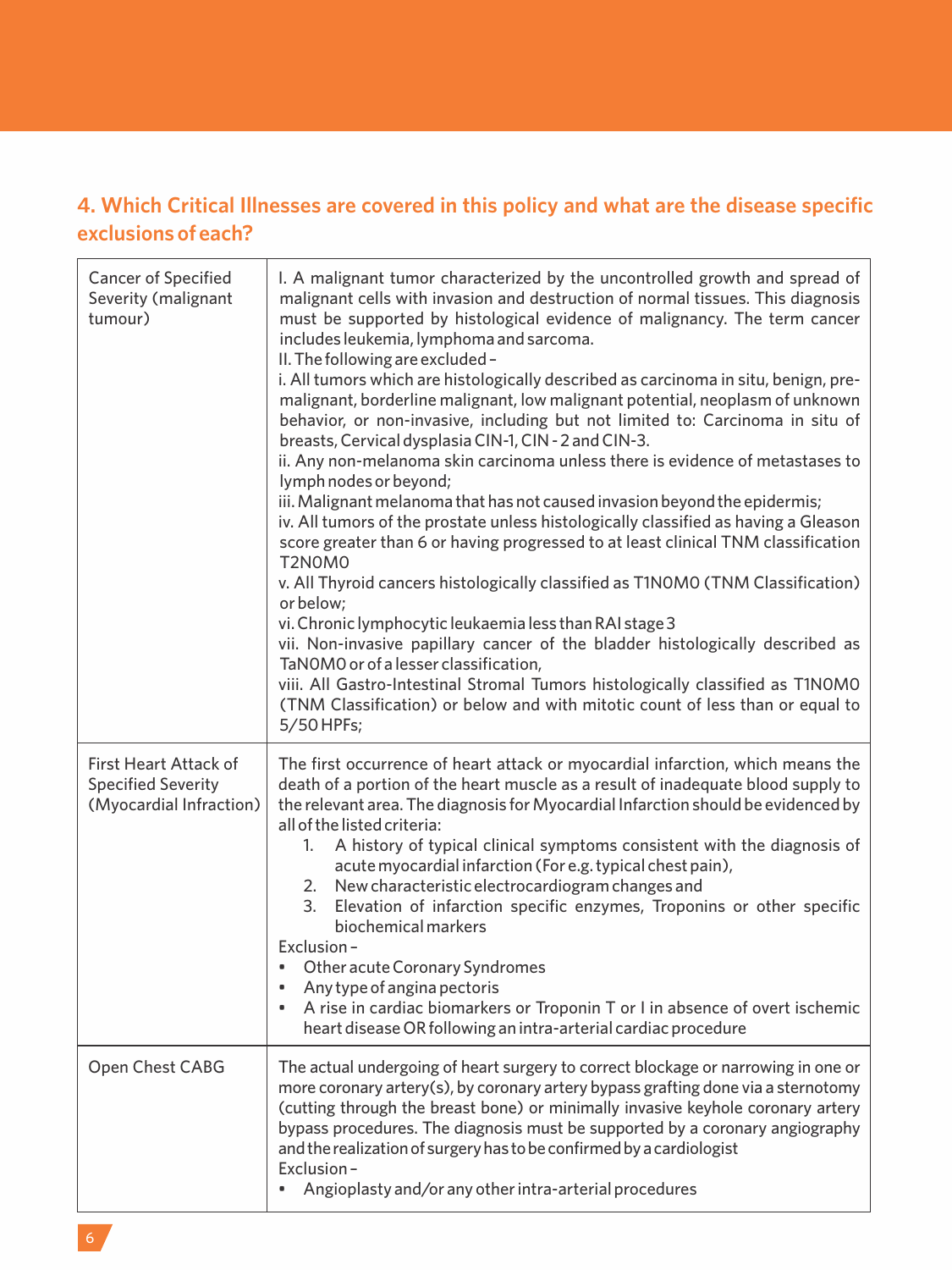## **4. Which Critical Illnesses are covered in this policy and what are the disease specific exclusions of each?**

| <b>Cancer of Specified</b><br>Severity (malignant<br>tumour)                         | I. A malignant tumor characterized by the uncontrolled growth and spread of<br>malignant cells with invasion and destruction of normal tissues. This diagnosis<br>must be supported by histological evidence of malignancy. The term cancer<br>includes leukemia, lymphoma and sarcoma.<br>II. The following are excluded -<br>i. All tumors which are histologically described as carcinoma in situ, benign, pre-<br>malignant, borderline malignant, low malignant potential, neoplasm of unknown<br>behavior, or non-invasive, including but not limited to: Carcinoma in situ of<br>breasts, Cervical dysplasia CIN-1, CIN - 2 and CIN-3.<br>ii. Any non-melanoma skin carcinoma unless there is evidence of metastases to<br>lymph nodes or beyond;<br>iii. Malignant melanoma that has not caused invasion beyond the epidermis;<br>iv. All tumors of the prostate unless histologically classified as having a Gleason<br>score greater than 6 or having progressed to at least clinical TNM classification<br>T2N0M0<br>v. All Thyroid cancers histologically classified as T1N0M0 (TNM Classification)<br>or below;<br>vi. Chronic lymphocytic leukaemia less than RAI stage 3<br>vii. Non-invasive papillary cancer of the bladder histologically described as<br>TaNOMO or of a lesser classification,<br>viii. All Gastro-Intestinal Stromal Tumors histologically classified as T1NOMO<br>(TNM Classification) or below and with mitotic count of less than or equal to<br>5/50 HPFs; |
|--------------------------------------------------------------------------------------|----------------------------------------------------------------------------------------------------------------------------------------------------------------------------------------------------------------------------------------------------------------------------------------------------------------------------------------------------------------------------------------------------------------------------------------------------------------------------------------------------------------------------------------------------------------------------------------------------------------------------------------------------------------------------------------------------------------------------------------------------------------------------------------------------------------------------------------------------------------------------------------------------------------------------------------------------------------------------------------------------------------------------------------------------------------------------------------------------------------------------------------------------------------------------------------------------------------------------------------------------------------------------------------------------------------------------------------------------------------------------------------------------------------------------------------------------------------------------------------------------|
| <b>First Heart Attack of</b><br><b>Specified Severity</b><br>(Myocardial Infraction) | The first occurrence of heart attack or myocardial infarction, which means the<br>death of a portion of the heart muscle as a result of inadequate blood supply to<br>the relevant area. The diagnosis for Myocardial Infarction should be evidenced by<br>all of the listed criteria:<br>A history of typical clinical symptoms consistent with the diagnosis of<br>1.<br>acute myocardial infarction (For e.g. typical chest pain),<br>New characteristic electrocardiogram changes and<br>2.<br>Elevation of infarction specific enzymes, Troponins or other specific<br>3.<br>biochemical markers<br>Exclusion-<br>Other acute Coronary Syndromes<br>٠<br>Any type of angina pectoris<br>۰<br>A rise in cardiac biomarkers or Troponin T or I in absence of overt ischemic<br>۰<br>heart disease OR following an intra-arterial cardiac procedure                                                                                                                                                                                                                                                                                                                                                                                                                                                                                                                                                                                                                                              |
| Open Chest CABG                                                                      | The actual undergoing of heart surgery to correct blockage or narrowing in one or<br>more coronary artery(s), by coronary artery bypass grafting done via a sternotomy<br>(cutting through the breast bone) or minimally invasive keyhole coronary artery<br>bypass procedures. The diagnosis must be supported by a coronary angiography<br>and the realization of surgery has to be confirmed by a cardiologist<br>Exclusion-<br>Angioplasty and/or any other intra-arterial procedures<br>٠                                                                                                                                                                                                                                                                                                                                                                                                                                                                                                                                                                                                                                                                                                                                                                                                                                                                                                                                                                                                     |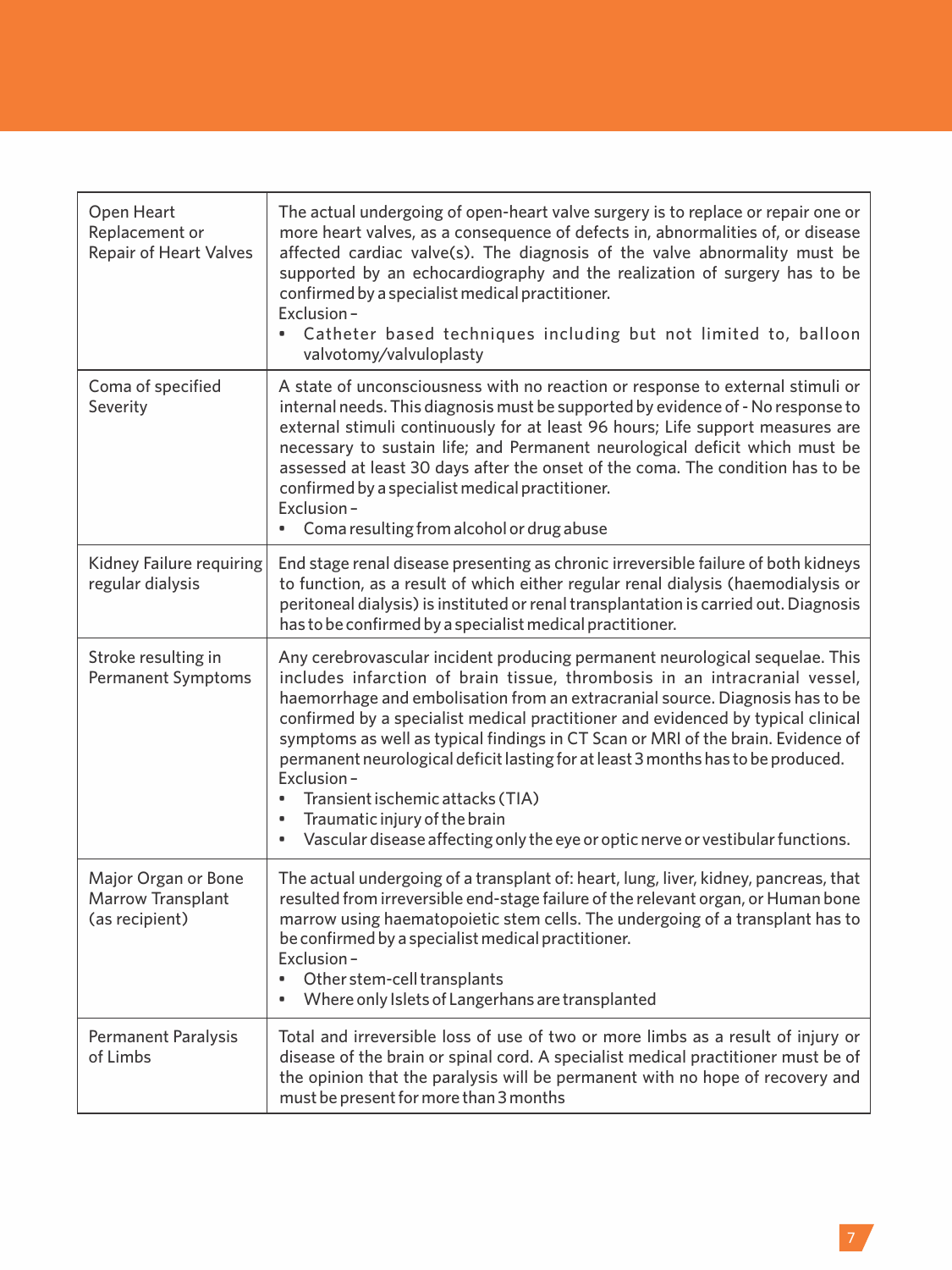| Open Heart<br>Replacement or<br><b>Repair of Heart Valves</b>     | The actual undergoing of open-heart valve surgery is to replace or repair one or<br>more heart valves, as a consequence of defects in, abnormalities of, or disease<br>affected cardiac valve(s). The diagnosis of the valve abnormality must be<br>supported by an echocardiography and the realization of surgery has to be<br>confirmed by a specialist medical practitioner.<br>Exclusion-<br>Catheter based techniques including but not limited to, balloon<br>٠<br>valvotomy/valvuloplasty                                                                                                                                                                                            |
|-------------------------------------------------------------------|----------------------------------------------------------------------------------------------------------------------------------------------------------------------------------------------------------------------------------------------------------------------------------------------------------------------------------------------------------------------------------------------------------------------------------------------------------------------------------------------------------------------------------------------------------------------------------------------------------------------------------------------------------------------------------------------|
| Coma of specified<br>Severity                                     | A state of unconsciousness with no reaction or response to external stimuli or<br>internal needs. This diagnosis must be supported by evidence of - No response to<br>external stimuli continuously for at least 96 hours; Life support measures are<br>necessary to sustain life; and Permanent neurological deficit which must be<br>assessed at least 30 days after the onset of the coma. The condition has to be<br>confirmed by a specialist medical practitioner.<br>Exclusion-<br>Coma resulting from alcohol or drug abuse                                                                                                                                                          |
| Kidney Failure requiring<br>regular dialysis                      | End stage renal disease presenting as chronic irreversible failure of both kidneys<br>to function, as a result of which either regular renal dialysis (haemodialysis or<br>peritoneal dialysis) is instituted or renal transplantation is carried out. Diagnosis<br>has to be confirmed by a specialist medical practitioner.                                                                                                                                                                                                                                                                                                                                                                |
| Stroke resulting in<br><b>Permanent Symptoms</b>                  | Any cerebrovascular incident producing permanent neurological sequelae. This<br>includes infarction of brain tissue, thrombosis in an intracranial vessel,<br>haemorrhage and embolisation from an extracranial source. Diagnosis has to be<br>confirmed by a specialist medical practitioner and evidenced by typical clinical<br>symptoms as well as typical findings in CT Scan or MRI of the brain. Evidence of<br>permanent neurological deficit lasting for at least 3 months has to be produced.<br>Exclusion-<br>Transient ischemic attacks (TIA)<br>٠<br>Traumatic injury of the brain<br>۰<br>Vascular disease affecting only the eye or optic nerve or vestibular functions.<br>٠ |
| Major Organ or Bone<br><b>Marrow Transplant</b><br>(as recipient) | The actual undergoing of a transplant of: heart, lung, liver, kidney, pancreas, that<br>resulted from irreversible end-stage failure of the relevant organ, or Human bone<br>marrow using haematopoietic stem cells. The undergoing of a transplant has to<br>be confirmed by a specialist medical practitioner.<br>Exclusion-<br>Other stem-cell transplants<br>٠<br>Where only Islets of Langerhans are transplanted<br>٠                                                                                                                                                                                                                                                                  |
| <b>Permanent Paralysis</b><br>of Limbs                            | Total and irreversible loss of use of two or more limbs as a result of injury or<br>disease of the brain or spinal cord. A specialist medical practitioner must be of<br>the opinion that the paralysis will be permanent with no hope of recovery and<br>must be present for more than 3 months                                                                                                                                                                                                                                                                                                                                                                                             |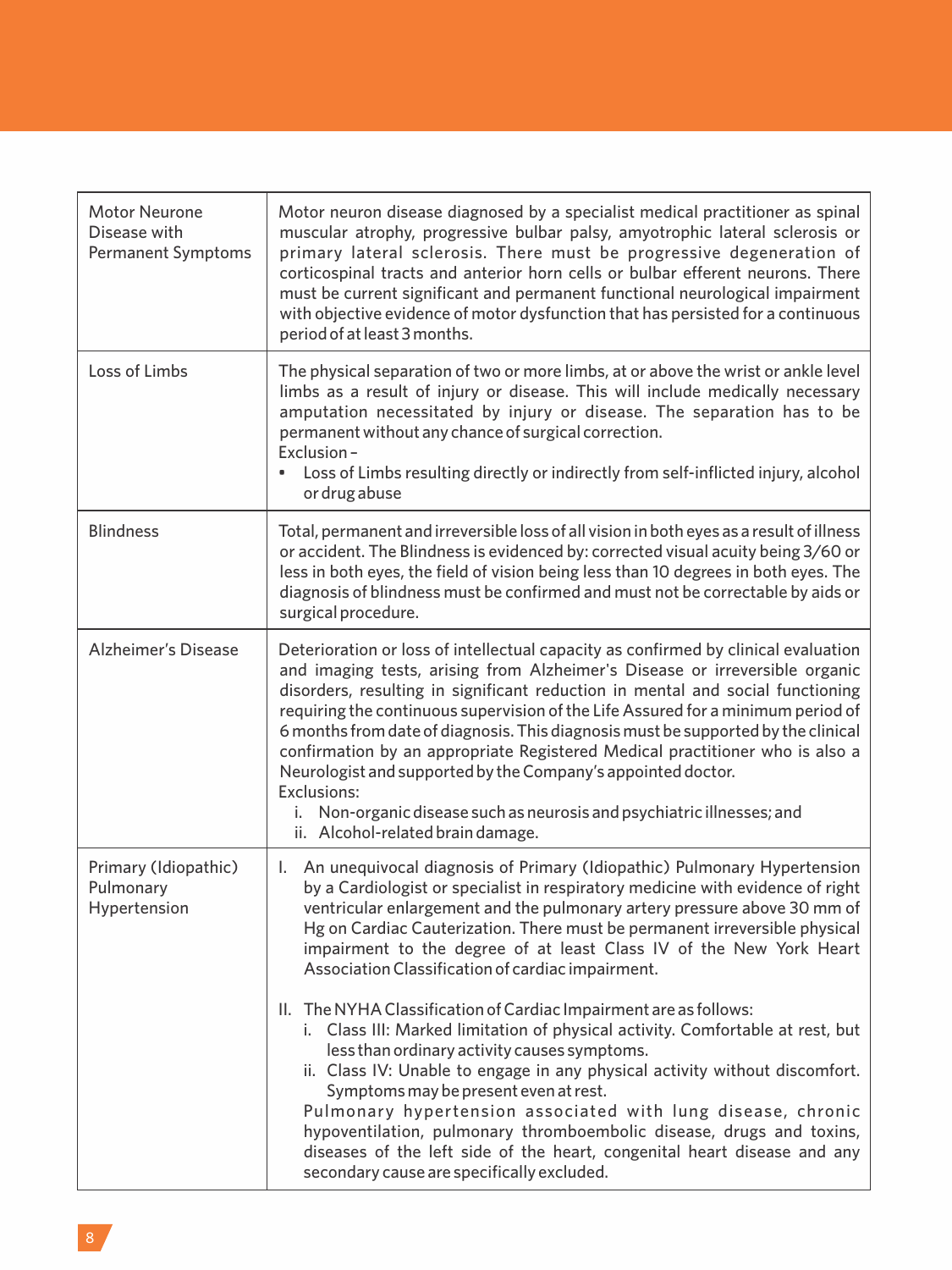| <b>Motor Neurone</b><br>Disease with<br><b>Permanent Symptoms</b> | Motor neuron disease diagnosed by a specialist medical practitioner as spinal<br>muscular atrophy, progressive bulbar palsy, amyotrophic lateral sclerosis or<br>primary lateral sclerosis. There must be progressive degeneration of<br>corticospinal tracts and anterior horn cells or bulbar efferent neurons. There<br>must be current significant and permanent functional neurological impairment<br>with objective evidence of motor dysfunction that has persisted for a continuous<br>period of at least 3 months.                                                                                                                                                                                                                                                                                                                                                                                                                                                                                                                            |
|-------------------------------------------------------------------|--------------------------------------------------------------------------------------------------------------------------------------------------------------------------------------------------------------------------------------------------------------------------------------------------------------------------------------------------------------------------------------------------------------------------------------------------------------------------------------------------------------------------------------------------------------------------------------------------------------------------------------------------------------------------------------------------------------------------------------------------------------------------------------------------------------------------------------------------------------------------------------------------------------------------------------------------------------------------------------------------------------------------------------------------------|
| Loss of Limbs                                                     | The physical separation of two or more limbs, at or above the wrist or ankle level<br>limbs as a result of injury or disease. This will include medically necessary<br>amputation necessitated by injury or disease. The separation has to be<br>permanent without any chance of surgical correction.<br>Exclusion-<br>Loss of Limbs resulting directly or indirectly from self-inflicted injury, alcohol<br>or drug abuse                                                                                                                                                                                                                                                                                                                                                                                                                                                                                                                                                                                                                             |
| <b>Blindness</b>                                                  | Total, permanent and irreversible loss of all vision in both eyes as a result of illness<br>or accident. The Blindness is evidenced by: corrected visual acuity being 3/60 or<br>less in both eyes, the field of vision being less than 10 degrees in both eyes. The<br>diagnosis of blindness must be confirmed and must not be correctable by aids or<br>surgical procedure.                                                                                                                                                                                                                                                                                                                                                                                                                                                                                                                                                                                                                                                                         |
| <b>Alzheimer's Disease</b>                                        | Deterioration or loss of intellectual capacity as confirmed by clinical evaluation<br>and imaging tests, arising from Alzheimer's Disease or irreversible organic<br>disorders, resulting in significant reduction in mental and social functioning<br>requiring the continuous supervision of the Life Assured for a minimum period of<br>6 months from date of diagnosis. This diagnosis must be supported by the clinical<br>confirmation by an appropriate Registered Medical practitioner who is also a<br>Neurologist and supported by the Company's appointed doctor.<br>Exclusions:<br>i. Non-organic disease such as neurosis and psychiatric illnesses; and<br>ii. Alcohol-related brain damage.                                                                                                                                                                                                                                                                                                                                             |
| Primary (Idiopathic)<br>Pulmonary<br>Hypertension                 | An unequivocal diagnosis of Primary (Idiopathic) Pulmonary Hypertension<br>I.<br>by a Cardiologist or specialist in respiratory medicine with evidence of right<br>ventricular enlargement and the pulmonary artery pressure above 30 mm of<br>Hg on Cardiac Cauterization. There must be permanent irreversible physical<br>impairment to the degree of at least Class IV of the New York Heart<br>Association Classification of cardiac impairment.<br>II. The NYHA Classification of Cardiac Impairment are as follows:<br>i. Class III: Marked limitation of physical activity. Comfortable at rest, but<br>less than ordinary activity causes symptoms.<br>ii. Class IV: Unable to engage in any physical activity without discomfort.<br>Symptoms may be present even at rest.<br>Pulmonary hypertension associated with lung disease, chronic<br>hypoventilation, pulmonary thromboembolic disease, drugs and toxins,<br>diseases of the left side of the heart, congenital heart disease and any<br>secondary cause are specifically excluded. |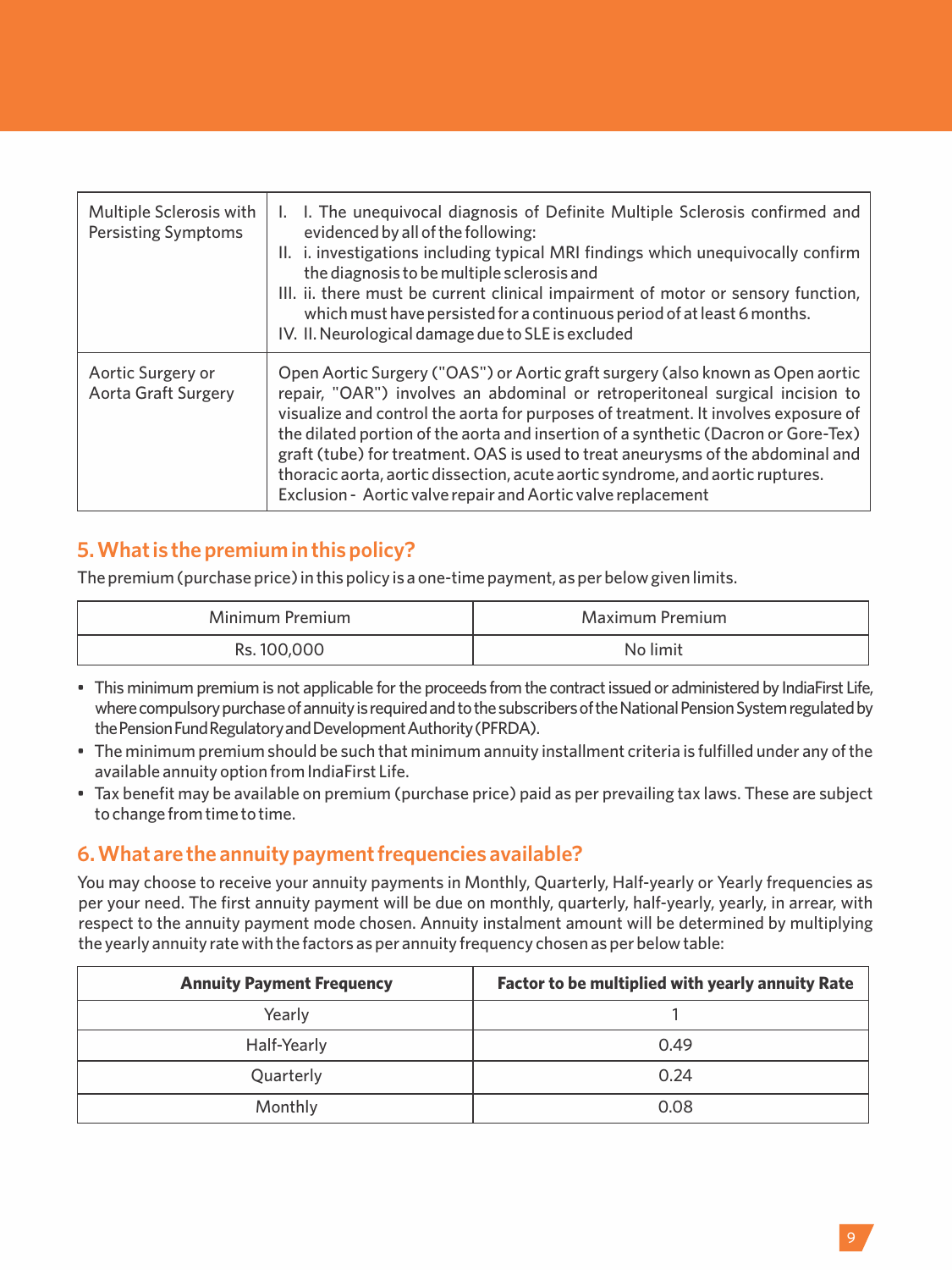| Multiple Sclerosis with<br><b>Persisting Symptoms</b> | I. The unequivocal diagnosis of Definite Multiple Sclerosis confirmed and<br>evidenced by all of the following:<br>II. i. investigations including typical MRI findings which unequivocally confirm<br>the diagnosis to be multiple sclerosis and<br>III. ii. there must be current clinical impairment of motor or sensory function,<br>which must have persisted for a continuous period of at least 6 months.<br>IV. II. Neurological damage due to SLE is excluded                                                                                                          |
|-------------------------------------------------------|---------------------------------------------------------------------------------------------------------------------------------------------------------------------------------------------------------------------------------------------------------------------------------------------------------------------------------------------------------------------------------------------------------------------------------------------------------------------------------------------------------------------------------------------------------------------------------|
| Aortic Surgery or<br><b>Aorta Graft Surgery</b>       | Open Aortic Surgery ("OAS") or Aortic graft surgery (also known as Open aortic<br>repair, "OAR") involves an abdominal or retroperitoneal surgical incision to<br>visualize and control the aorta for purposes of treatment. It involves exposure of<br>the dilated portion of the aorta and insertion of a synthetic (Dacron or Gore-Tex)<br>graft (tube) for treatment. OAS is used to treat aneurysms of the abdominal and<br>thoracic aorta, aortic dissection, acute aortic syndrome, and aortic ruptures.<br>Exclusion - Aortic valve repair and Aortic valve replacement |

## **5. What is the premium in this policy?**

The premium (purchase price) in this policy is a one-time payment, as per below given limits.

| Minimum Premium | Maximum Premium |
|-----------------|-----------------|
| Rs. 100,000     | No limit        |

- This minimum premium is not applicable forthe proceeds from the contractissued or administered by IndiaFirst Life, where compulsory purchase of annuity is required and to the subscribers of the National Pension System regulated by the Pension Fund Regulatory and Development Authority (PFRDA).
- The minimum premium should be such that minimum annuity installment criteria is fulfilled under any of the available annuity option from IndiaFirst Life.
- Tax benefit may be available on premium (purchase price) paid as per prevailing tax laws. These are subject to change from time to time.

## **6. What are the annuity payment frequencies available?**

You may choose to receive your annuity payments in Monthly, Quarterly, Half-yearly or Yearly frequencies as per your need. The first annuity payment will be due on monthly, quarterly, half-yearly, yearly, in arrear, with respect to the annuity payment mode chosen. Annuity instalment amount will be determined by multiplying the yearly annuity rate with the factors as per annuity frequency chosen as per below table:

| <b>Annuity Payment Frequency</b> | <b>Factor to be multiplied with yearly annuity Rate</b> |
|----------------------------------|---------------------------------------------------------|
| Yearly                           |                                                         |
| Half-Yearly                      | 0.49                                                    |
| Quarterly                        | 0.24                                                    |
| Monthly                          | 0.08                                                    |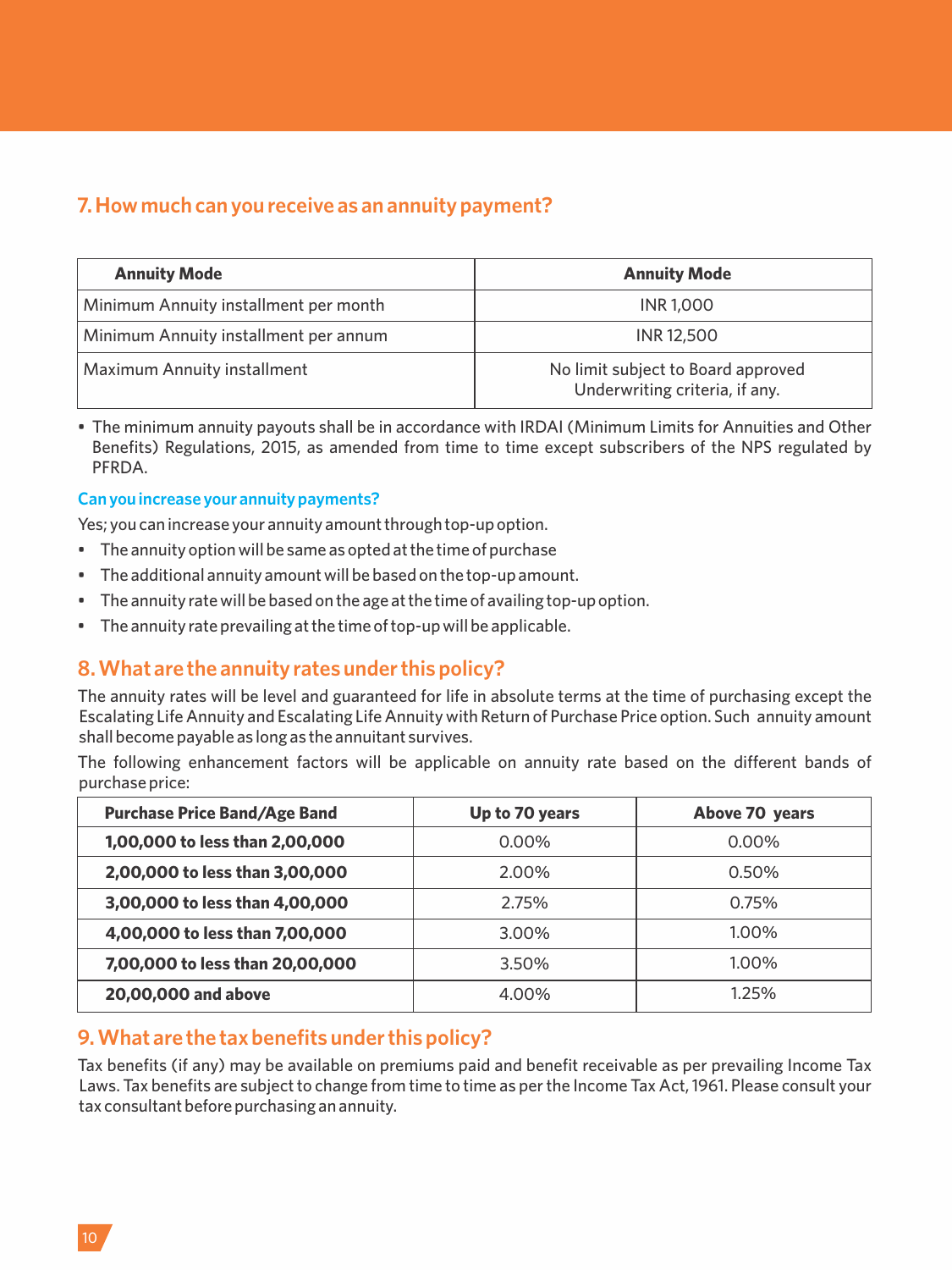## **7. How much can you receive as an annuity payment?**

| <b>Annuity Mode</b>                   | <b>Annuity Mode</b>                                                  |
|---------------------------------------|----------------------------------------------------------------------|
| Minimum Annuity installment per month | <b>INR 1,000</b>                                                     |
| Minimum Annuity installment per annum | <b>INR12,500</b>                                                     |
| Maximum Annuity installment           | No limit subject to Board approved<br>Underwriting criteria, if any. |

• The minimum annuity payouts shall be in accordance with IRDAI (Minimum Limits for Annuities and Other Benefits) Regulations, 2015, as amended from time to time except subscribers of the NPS regulated by PFRDA.

#### **Can you increase your annuity payments?**

Yes; you can increase your annuity amount through top-up option.

- The annuity option will be same as opted at the time of purchase
- The additional annuity amount will be based on the top-up amount.
- The annuity rate will be based on the age at the time of availing top-up option.
- The annuity rate prevailing at the time of top-up will be applicable.

## **8. What are the annuity rates under this policy?**

The annuity rates will be level and guaranteed for life in absolute terms at the time of purchasing except the Escalating Life Annuity and Escalating Life Annuity with Return of Purchase Price option. Such annuity amount shall become payable as long as the annuitant survives.

The following enhancement factors will be applicable on annuity rate based on the different bands of purchase price:

| <b>Purchase Price Band/Age Band</b> | Up to 70 years | Above 70 years |
|-------------------------------------|----------------|----------------|
| 1,00,000 to less than 2,00,000      | $0.00\%$       | $0.00\%$       |
| 2,00,000 to less than 3,00,000      | 2.00%          | 0.50%          |
| 3,00,000 to less than 4,00,000      | 2.75%          | 0.75%          |
| 4,00,000 to less than 7,00,000      | 3.00%          | 1.00%          |
| 7,00,000 to less than 20,00,000     | 3.50%          | 1.00%          |
| 20,00,000 and above                 | 4.00%          | 1.25%          |

### **9. What are the tax benefits under this policy?**

Tax benefits (if any) may be available on premiums paid and benefit receivable as per prevailing Income Tax Laws. Tax benefits are subject to change from time to time as per the Income Tax Act, 1961. Please consult your tax consultant before purchasing an annuity.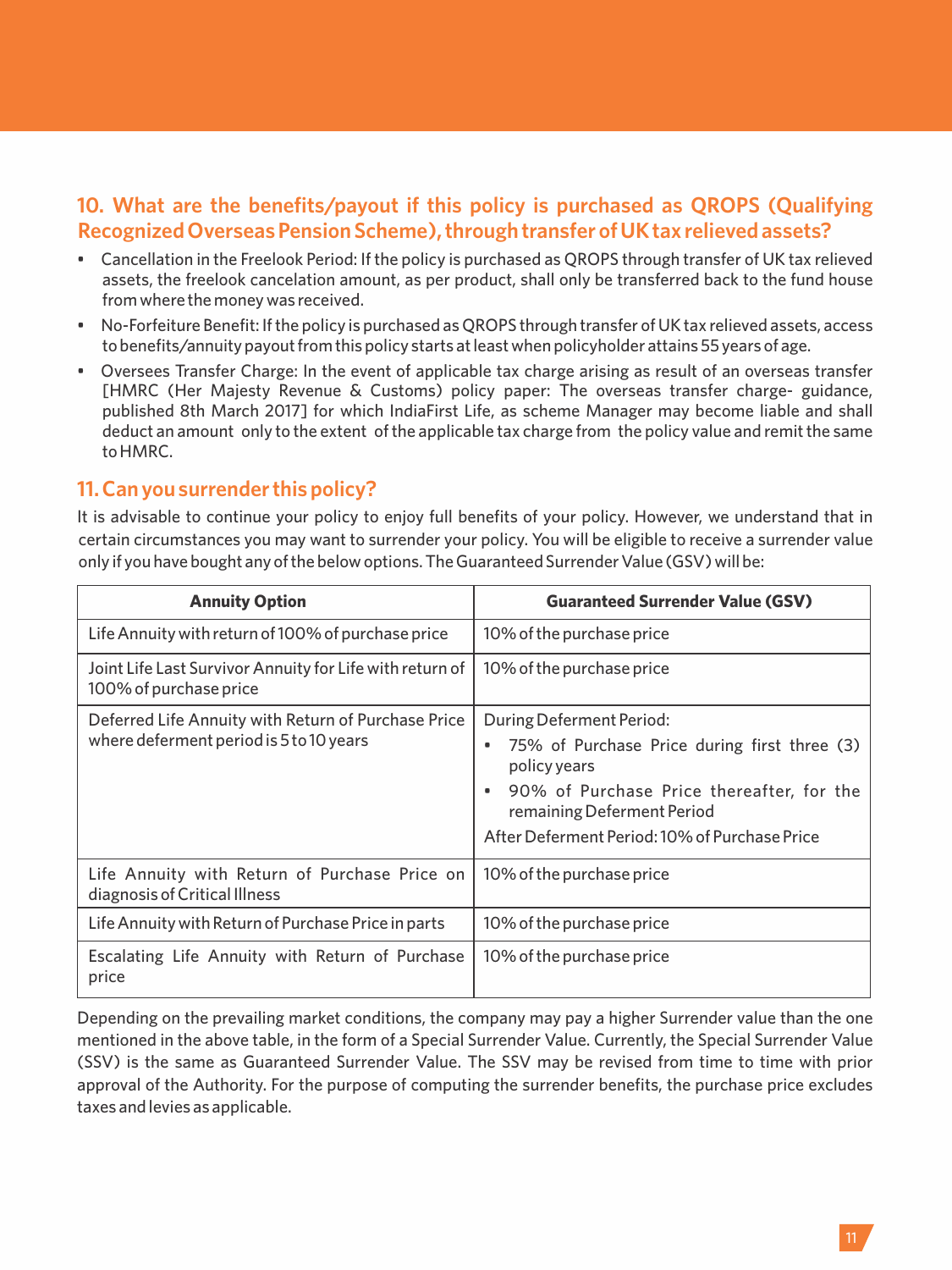## **10. What are the benefits/payout if this policy is purchased as QROPS (Qualifying Recognized Overseas Pension Scheme), through transfer of UK tax relieved assets?**

- Cancellation in the Freelook Period: If the policy is purchased as QROPS through transfer of UK tax relieved assets, the freelook cancelation amount, as per product, shall only be transferred back to the fund house from where the money was received.
- No-Forfeiture Benefit: If the policy is purchased as QROPS through transfer of UK tax relieved assets, access to benefits/annuity payout from this policy starts at least when policyholder attains 55 years of age.
- Oversees Transfer Charge: In the event of applicable tax charge arising as result of an overseas transfer [HMRC (Her Majesty Revenue & Customs) policy paper: The overseas transfer charge- guidance, published 8th March 2017] for which IndiaFirst Life, as scheme Manager may become liable and shall deduct an amount only to the extent of the applicable tax charge from the policy value and remit the same to HMRC.

## **11. Can you surrender this policy?**

It is advisable to continue your policy to enjoy full benefits of your policy. However, we understand that in certain circumstances you may want to surrender your policy. You will be eligible to receive a surrender value only if you have bought any of the below options. The Guaranteed Surrender Value (GSV) will be:

| <b>Annuity Option</b>                                                              | <b>Guaranteed Surrender Value (GSV)</b>                                      |
|------------------------------------------------------------------------------------|------------------------------------------------------------------------------|
| Life Annuity with return of 100% of purchase price                                 | 10% of the purchase price                                                    |
| Joint Life Last Survivor Annuity for Life with return of<br>100% of purchase price | 10% of the purchase price                                                    |
| Deferred Life Annuity with Return of Purchase Price                                | During Deferment Period:                                                     |
| where deferment period is 5 to 10 years                                            | 75% of Purchase Price during first three (3)<br>٠<br>policy years            |
|                                                                                    | 90% of Purchase Price thereafter, for the<br>٠<br>remaining Deferment Period |
|                                                                                    | After Deferment Period: 10% of Purchase Price                                |
| Life Annuity with Return of Purchase Price on<br>diagnosis of Critical Illness     | 10% of the purchase price                                                    |
| Life Annuity with Return of Purchase Price in parts                                | 10% of the purchase price                                                    |
| Escalating Life Annuity with Return of Purchase<br>price                           | 10% of the purchase price                                                    |

Depending on the prevailing market conditions, the company may pay a higher Surrender value than the one mentioned in the above table, in the form of a Special Surrender Value. Currently, the Special Surrender Value (SSV) is the same as Guaranteed Surrender Value. The SSV may be revised from time to time with prior approval of the Authority. For the purpose of computing the surrender benefits, the purchase price excludes taxes and levies as applicable.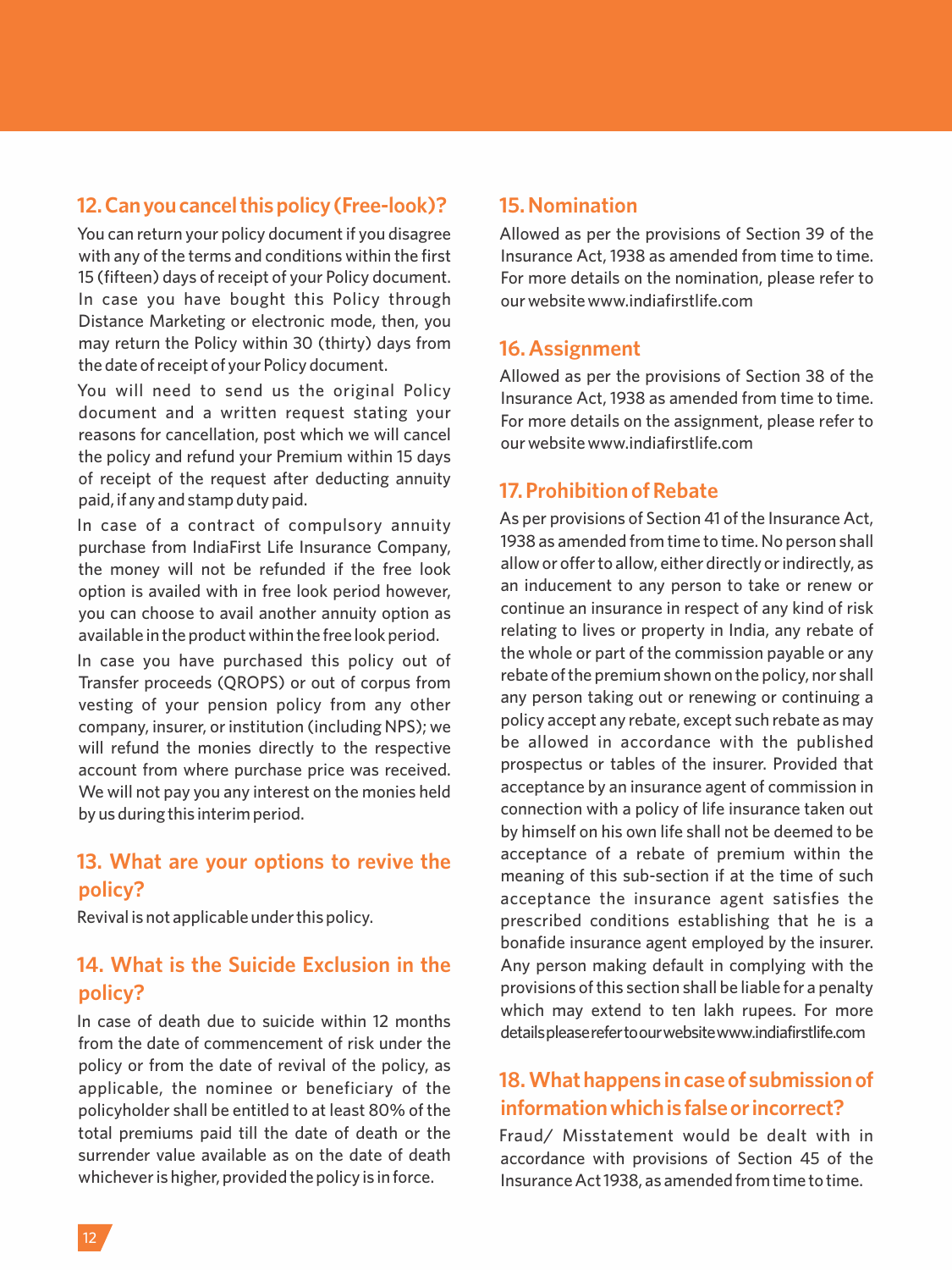## **12.Canyoucancelthispolicy(Free-look)?**

You can return your policy document if you disagree with any of the terms and conditions within the first 15 (fifteen) days of receipt of your Policy document. In case you have bought this Policy through Distance Marketing or electronic mode, then, you may return the Policy within 30 (thirty) days from the date of receipt of your Policy document.

You will need to send us the original Policy document and a written request stating your reasons for cancellation, post which we will cancel the policy and refund your Premium within 15 days of receipt of the request after deducting annuity paid, if any and stamp duty paid.

In case of a contract of compulsory annuity purchase from IndiaFirst Life Insurance Company, the money will not be refunded if the free look option is availed with in free look period however, you can choose to avail another annuity option as available in the product within the free look period.

In case you have purchased this policy out of Transfer proceeds (QROPS) or out of corpus from vesting of your pension policy from any other company, insurer, or institution (including NPS); we will refund the monies directly to the respective account from where purchase price was received. We will not pay you any interest on the monies held by us during this interim period.

## **13. What are your options to revive the policy?**

Revival is not applicable under this policy.

## **14. What is the Suicide Exclusion in the policy?**

In case of death due to suicide within 12 months from the date of commencement of risk under the policy or from the date of revival of the policy, as applicable, the nominee or beneficiary of the policyholder shall be entitled to at least 80% of the total premiums paid till the date of death or the surrender value available as on the date of death whichever is higher, provided the policy is in force.

#### **15. Nomination**

Allowed as per the provisions of Section 39 of the Insurance Act, 1938 as amended from time to time. For more details on the nomination, please refer to our website www.indiafirstlife.com

#### **16. Assignment**

Allowed as per the provisions of Section 38 of the Insurance Act, 1938 as amended from time to time. For more details on the assignment, please refer to our website www.indiafirstlife.com

## **17. Prohibition of Rebate**

As per provisions of Section 41 of the Insurance Act, 1938 as amended from time to time. No person shall allow or offer to allow, either directly or indirectly, as an inducement to any person to take or renew or continue an insurance in respect of any kind of risk relating to lives or property in India, any rebate of the whole or part of the commission payable or any rebate of the premium shown on the policy, nor shall any person taking out or renewing or continuing a policy accept any rebate, except such rebate as may be allowed in accordance with the published prospectus or tables of the insurer. Provided that acceptance by an insurance agent of commission in connection with a policy of life insurance taken out by himself on his own life shall not be deemed to be acceptance of a rebate of premium within the meaning of this sub-section if at the time of such acceptance the insurance agent satisfies the prescribed conditions establishing that he is a bonafide insurance agent employed by the insurer. Any person making default in complying with the provisions of this section shall be liable for a penalty which may extend to ten lakh rupees. For more details please refer to our website www.indiafirstlife.com

## **18. What happens in case of submission of informationwhichisfalseorincorrect?**

Fraud/ Misstatement would be dealt with in accordance with provisions of Section 45 of the Insurance Act 1938, as amended from time to time.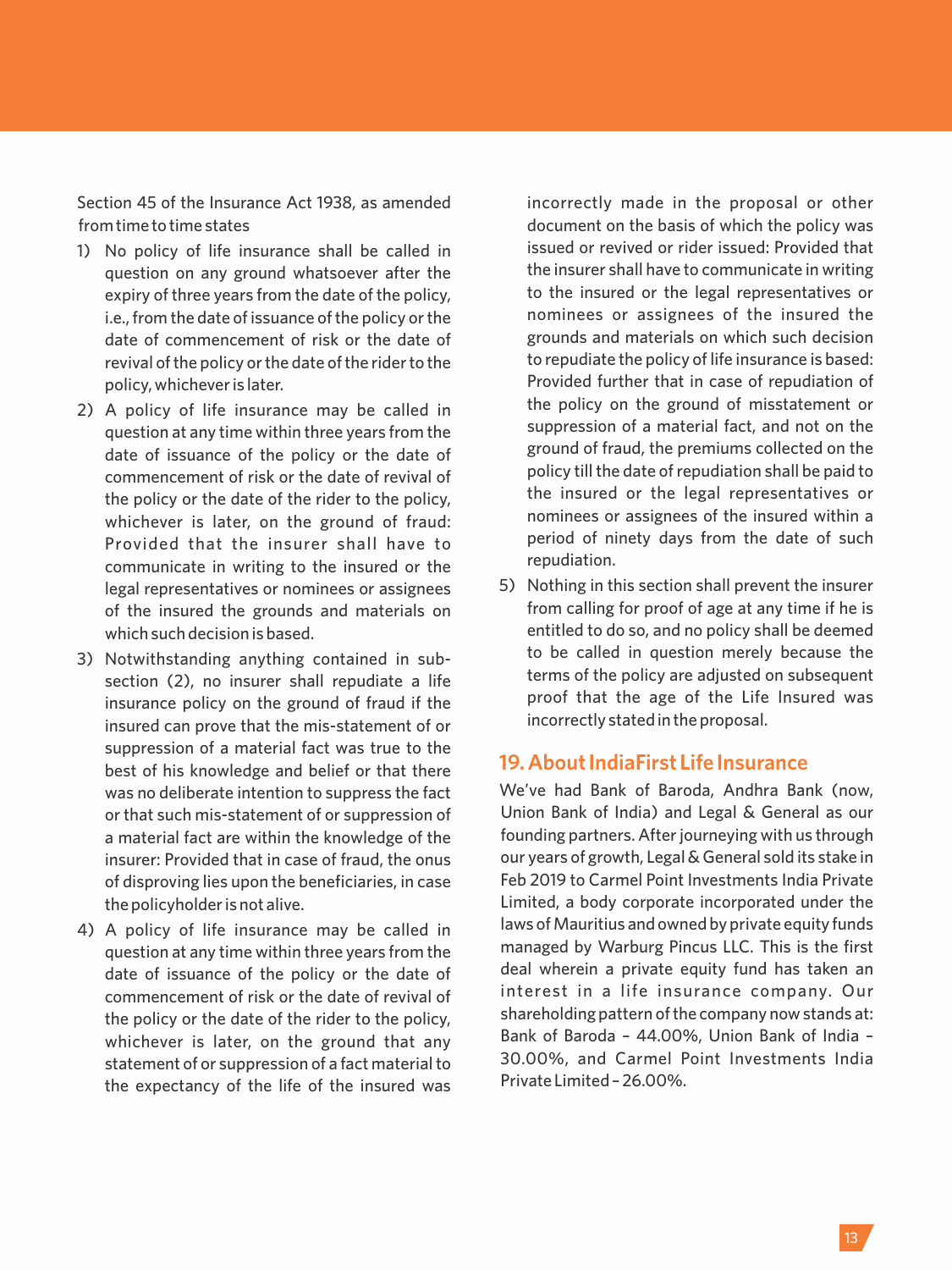Section 45 of the Insurance Act 1938, as amended from time to time states

- 1) No policy of life insurance shall be called in question on any ground whatsoever after the expiry of three years from the date of the policy, i.e., from the date of issuance of the policy or the date of commencement of risk or the date of revival of the policy or the date of the rider to the policy, whichever is later.
- 2) A policy of life insurance may be called in question at any time within three years from the date of issuance of the policy or the date of commencement of risk or the date of revival of the policy or the date of the rider to the policy, whichever is later, on the ground of fraud: Provided that the insurer shall have to communicate in writing to the insured or the legal representatives or nominees or assignees of the insured the grounds and materials on which such decision is based.
- 3) Notwithstanding anything contained in subsection (2), no insurer shall repudiate a life insurance policy on the ground of fraud if the insured can prove that the mis-statement of or suppression of a material fact was true to the best of his knowledge and belief or that there was no deliberate intention to suppress the fact or that such mis-statement of or suppression of a material fact are within the knowledge of the insurer: Provided that in case of fraud, the onus of disproving lies upon the beneficiaries, in case the policyholder is not alive.
- 4) A policy of life insurance may be called in question at any time within three years from the date of issuance of the policy or the date of commencement of risk or the date of revival of the policy or the date of the rider to the policy, whichever is later, on the ground that any statement of or suppression of a fact material to the expectancy of the life of the insured was

incorrectly made in the proposal or other document on the basis of which the policy was issued or revived or rider issued: Provided that the insurer shall have to communicate in writing to the insured or the legal representatives or nominees or assignees of the insured the grounds and materials on which such decision to repudiate the policy of life insurance is based: Provided further that in case of repudiation of the policy on the ground of misstatement or suppression of a material fact, and not on the ground of fraud, the premiums collected on the policy till the date of repudiation shall be paid to the insured or the legal representatives or nominees or assignees of the insured within a period of ninety days from the date of such repudiation.

5) Nothing in this section shall prevent the insurer from calling for proof of age at any time if he is entitled to do so, and no policy shall be deemed to be called in question merely because the terms of the policy are adiusted on subsequent proof that the age of the Life Insured was incorrectly stated in the proposal.

### **19. About IndiaFirst Life Insurance**

We've had Bank of Baroda, Andhra Bank (now, Union Bank of India) and Legal & General as our founding partners. After journeying with us through our years of growth, Legal & General sold its stake in Feb 2019 to Carmel Point Investments India Private Limited, a body corporate incorporated under the laws of Mauritius and owned by private equity funds managed by Warburg Pincus LLC. This is the first deal wherein a private equity fund has taken an interest in a life insurance company. Our shareholding pattern of the company now stands at: Bank of Baroda – 44.00%, Union Bank of India – 30.00%, and Carmel Point Investments India Private Limited – 26.00%.